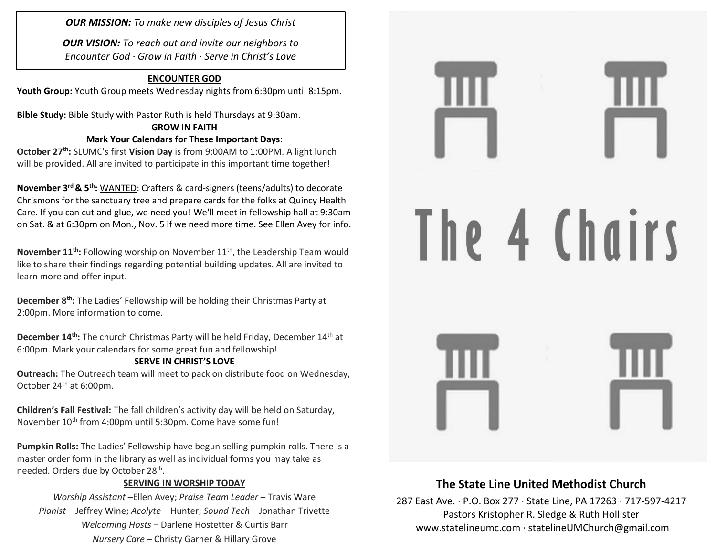*OUR MISSION: To make new disciples of Jesus Christ*

*OUR VISION: To reach out and invite our neighbors to Encounter God · Grow in Faith · Serve in Christ's Love*

### **ENCOUNTER GOD**

**Youth Group:** Youth Group meets Wednesday nights from 6:30pm until 8:15pm.

**Bible Study:** Bible Study with Pastor Ruth is held Thursdays at 9:30am.

#### **GROW IN FAITH Mark Your Calendars for These Important Days:**

**October 27th:** SLUMC's first **Vision Day** is from 9:00AM to 1:00PM. A light lunch will be provided. All are invited to participate in this important time together!

**November 3rd & 5th:** WANTED: Crafters & card-signers (teens/adults) to decorate Chrismons for the sanctuary tree and prepare cards for the folks at Quincy Health Care. If you can cut and glue, we need you! We'll meet in fellowship hall at 9:30am on Sat. & at 6:30pm on Mon., Nov. 5 if we need more time. See Ellen Avey for info.

**November 11<sup>th</sup>:** Following worship on November 11<sup>th</sup>, the Leadership Team would like to share their findings regarding potential building updates. All are invited to learn more and offer input.

**December 8th:** The Ladies' Fellowship will be holding their Christmas Party at 2:00pm. More information to come.

**December 14<sup>th</sup>:** The church Christmas Party will be held Friday, December 14<sup>th</sup> at 6:00pm. Mark your calendars for some great fun and fellowship!

### **SERVE IN CHRIST'S LOVE**

**Outreach:** The Outreach team will meet to pack on distribute food on Wednesday, October 24<sup>th</sup> at 6:00pm.

**Children's Fall Festival:** The fall children's activity day will be held on Saturday, November 10<sup>th</sup> from 4:00pm until 5:30pm. Come have some fun!

**Pumpkin Rolls:** The Ladies' Fellowship have begun selling pumpkin rolls. There is a master order form in the library as well as individual forms you may take as needed. Orders due by October 28<sup>th</sup>.

### **SERVING IN WORSHIP TODAY**

*Worship Assistant* –Ellen Avey; *Praise Team Leader* – Travis Ware *Pianist* – Jeffrey Wine; *Acolyte* – Hunter; *Sound Tech* – Jonathan Trivette *Welcoming Hosts* – Darlene Hostetter & Curtis Barr *Nursery Care* – Christy Garner & Hillary Grove



## **The State Line United Methodist Church**

287 East Ave. · P.O. Box 277 · State Line, PA 17263 · 717-597-4217 Pastors Kristopher R. Sledge & Ruth Hollister [www.statelineumc.com](http://www.statelineumc.com/) · statelineUMChurch@gmail.com